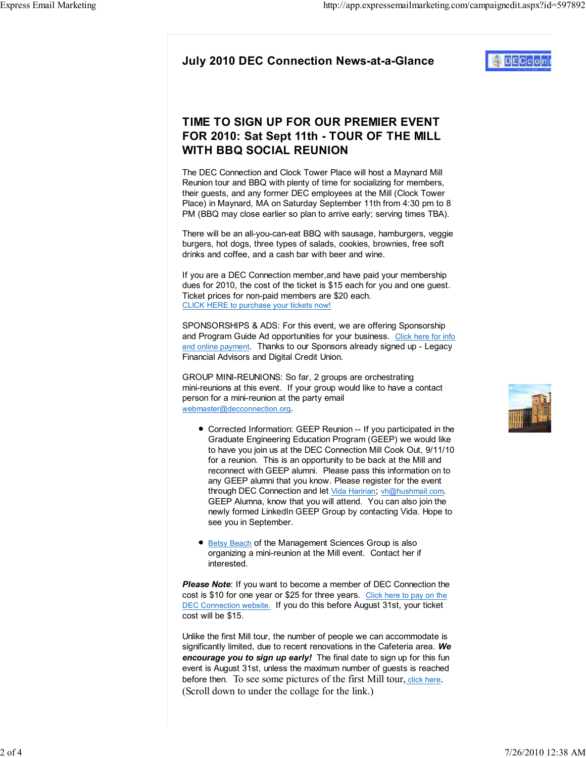# DECco

## TIME TO SIGN UP FOR OUR PREMIER EVENT FOR 2010: Sat Sept 11th - TOUR OF THE MILL WITH BBQ SOCIAL REUNION

The DEC Connection and Clock Tower Place will host a Maynard Mill Reunion tour and BBQ with plenty of time for socializing for members, their guests, and any former DEC employees at the Mill (Clock Tower Place) in Maynard, MA on Saturday September 11th from 4:30 pm to 8 PM (BBQ may close earlier so plan to arrive early; serving times TBA).

There will be an all-you-can-eat BBQ with sausage, hamburgers, veggie burgers, hot dogs, three types of salads, cookies, brownies, free soft drinks and coffee, and a cash bar with beer and wine.

If you are a DEC Connection member,and have paid your membership dues for 2010, the cost of the ticket is \$15 each for you and one guest. Ticket prices for non-paid members are \$20 each. CLICK HERE to purchase your tickets now!

SPONSORSHIPS & ADS: For this event, we are offering Sponsorship and Program Guide Ad opportunities for your business. Click here for infor and online payment. Thanks to our Sponsors already signed up - Legacy Financial Advisors and Digital Credit Union.

GROUP MINI-REUNIONS: So far, 2 groups are orchestrating mini-reunions at this event. If your group would like to have a contact person for a mini-reunion at the party email webmaster@decconnection.org.

- Corrected Information: GEEP Reunion -- If you participated in the Graduate Engineering Education Program (GEEP) we would like to have you join us at the DEC Connection Mill Cook Out, 9/11/10 for a reunion. This is an opportunity to be back at the Mill and reconnect with GEEP alumni. Please pass this information on to any GEEP alumni that you know. Please register for the event through DEC Connection and let Vida Haririan; vh@hushmail.com. GEEP Alumna, know that you will attend. You can also join the newly formed LinkedIn GEEP Group by contacting Vida. Hope to see you in September.
- **Betsy Beach of the Management Sciences Group is also** organizing a mini-reunion at the Mill event. Contact her if interested.

Please Note: If you want to become a member of DEC Connection the cost is \$10 for one year or \$25 for three years. Click here to pay on the DEC Connection website. If you do this before August 31st, your ticket cost will be \$15.

Unlike the first Mill tour, the number of people we can accommodate is significantly limited, due to recent renovations in the Cafeteria area. We encourage you to sign up early! The final date to sign up for this fun event is August 31st, unless the maximum number of guests is reached before then. To see some pictures of the first Mill tour, click here. (Scroll down to under the collage for the link.)

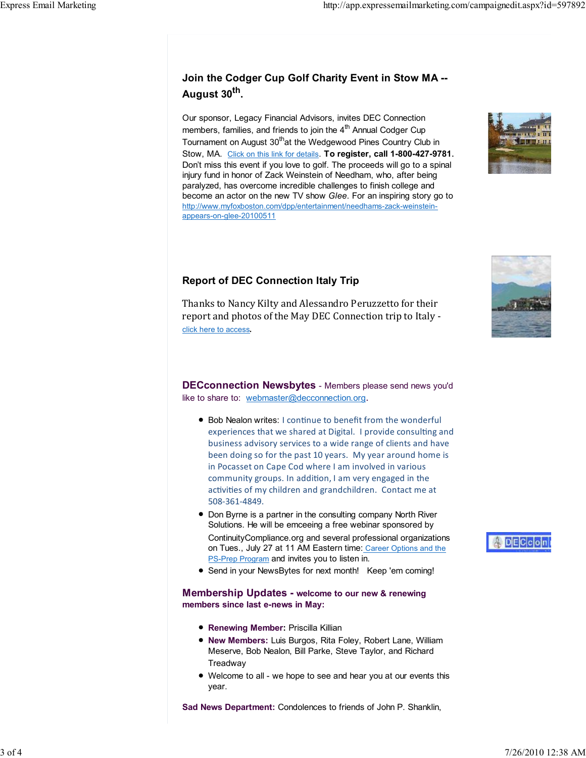# Join the Codger Cup Golf Charity Event in Stow MA -- August 30<sup>th</sup>.

Our sponsor, Legacy Financial Advisors, invites DEC Connection members, families, and friends to join the  $4<sup>th</sup>$  Annual Codger Cup Tournament on August 30<sup>th</sup>at the Wedgewood Pines Country Club in Stow, MA. Click on this link for details. To register, call 1-800-427-9781. Don't miss this event if you love to golf. The proceeds will go to a spinal injury fund in honor of Zack Weinstein of Needham, who, after being paralyzed, has overcome incredible challenges to finish college and become an actor on the new TV show Glee. For an inspiring story go to http://www.myfoxboston.com/dpp/entertainment/needhams-zack-weinsteinappears-on-glee-20100511

### Report of DEC Connection Italy Trip

Thanks to Nancy Kilty and Alessandro Peruzzetto for their report and photos of the May DEC Connection trip to Italy click here to access.

DECconnection Newsbytes - Members please send news you'd like to share to: webmaster@decconnection.org.

- Bob Nealon writes: I continue to benefit from the wonderful experiences that we shared at Digital. I provide consulting and business advisory services to a wide range of clients and have been doing so for the past 10 years. My year around home is in Pocasset on Cape Cod where I am involved in various community groups. In addition, I am very engaged in the activities of my children and grandchildren. Contact me at 508-361-4849.
- Don Byrne is a partner in the consulting company North River Solutions. He will be emceeing a free webinar sponsored by ContinuityCompliance.org and several professional organizations on Tues., July 27 at 11 AM Eastern time: Career Options and the PS-Prep Program and invites you to listen in.
- Send in your NewsBytes for next month! Keep 'em coming!

#### Membership Updates - welcome to our new & renewing members since last e-news in May:

- **Renewing Member: Priscilla Killian**
- New Members: Luis Burgos, Rita Foley, Robert Lane, William Meserve, Bob Nealon, Bill Parke, Steve Taylor, and Richard Treadway
- Welcome to all we hope to see and hear you at our events this year.

Sad News Department: Condolences to friends of John P. Shanklin,